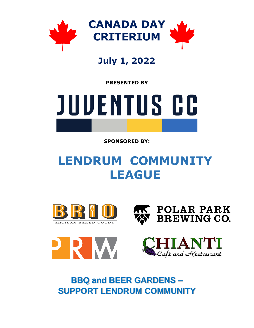

## **July 1, 2022**

**PRESENTED BY** 



**SPONSORED BY:** 

# **LENDRUM COMMUNITY LEAGUE**









**BBQ and BEER GARDENS – SUPPORT LENDRUM COMMUNITY**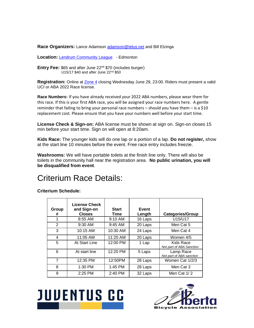**Race Organizers:** Lance Adamson [adamson@telus.net](mailto:adamson@telus.net) and Bill Elzinga

**Location:** [Lendrum Community League](http://maps.google.ca/maps?q=LENDRUM+COMMUNITY+LEAGUE&hl=en&hq=LENDRUM+COMMUNITY+LEAGUE&t=h&z=15) - Edmonton

**Entry Fee:** \$65 and after June 22nd \$70 (includes burger) U15/17 \$40 and after June 22<sup>nd</sup> \$50

Registration: Online at **[Zone 4](https://zone4.ca/register.asp?id=29276&lan=1&cartlevel=1)** closing Wednesday June 29, 23:00. Riders must present a valid UCI or ABA 2022 Race license.

**Race Numbers:** If you have already received your 2022 ABA numbers, please wear them for this race. If this is your first ABA race, you will be assigned your race numbers here. A gentle reminder that failing to bring your personal race numbers – should you have them – is a \$10 replacement cost. Please ensure that you have your numbers well before your start time.

**License Check & Sign-on:** ABA license must be shown at sign on. Sign-on closes 15 min before your start time. Sign on will open at 8:20am.

**Kids Race:** The younger kids will do one lap or a portion of a lap. **Do not register,** show at the start line 10 minutes before the event. Free race entry includes freezie.

**Washrooms:** We will have portable toilets at the finish line only. There will also be toilets in the community hall near the registration area. **No public urination, you will be disqualified from event**.

### Criterium Race Details:

**Criterium Schedule:**

| Group<br>#     | <b>License Check</b><br>and Sign-on<br><b>Closes</b> | <b>Start</b><br>Time | Event<br>Length | <b>Categories/Group</b>               |
|----------------|------------------------------------------------------|----------------------|-----------------|---------------------------------------|
|                | $8:55$ AM                                            | $9:10$ AM            | 16 Laps         | U15/U17                               |
| 2              | $9:30$ AM                                            | $9:45$ AM            | 20 Laps         | Men Cat 5                             |
| 3              | 10:15 AM                                             | 10:30 AM             | 24 Laps         | Men Cat 4                             |
| 4              | 11:05 AM                                             | 11:20 AM             | 20 Laps         | Women 4/5                             |
| 5              | At Start Line                                        | 12:00 PM             | 1 Lap           | Kids Race<br>Not part of ABA Sanction |
| 6              | At start line                                        | 12:20 PM             | 5 Laps          | Lamp Race<br>Not part of ABA sanction |
| $\overline{7}$ | 12:35 PM                                             | 12:50PM              | 28 Laps         | Women Cat 1/2/3                       |
| 8              | $1:30$ PM                                            | $1:45$ PM            | 28 Laps         | Men Cat 3                             |
| 9              | 2:25 PM                                              | 2:40 PM              | 32 Laps         | Men Cat $1/2$                         |



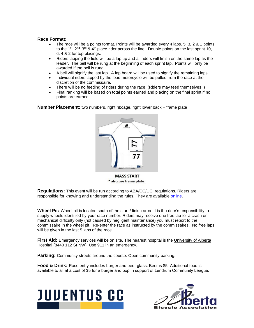#### **Race Format:**

- The race will be a points format. Points will be awarded every 4 laps. 5, 3, 2 & 1 points to the 1<sup>st</sup>, 2<sup>nd,</sup> 3<sup>rd</sup> & 4<sup>th</sup> place rider across the line. Double points on the last sprint 10, 6, 4 & 2 for top placings.
- Riders lapping the field will be a lap up and all riders will finish on the same lap as the leader. The bell will be rung at the beginning of each sprint lap. Points will only be awarded if the bell is rung.
- A bell will signify the last lap. A lap board will be used to signify the remaining laps.
- Individual riders lapped by the lead motorcycle will be pulled from the race at the discretion of the commissaire.
- There will be no feeding of riders during the race. (Riders may feed themselves :)
- Final ranking will be based on total points earned and placing on the final sprint if no points are earned.

**Number Placement:** two numbers, right ribcage, right lower back + frame plate



\* also use frame plate

**Regulations:** This event will be run according to ABA/CC/UCI regulations. Riders are responsible for knowing and understanding the rules. They are available [online.](http://albertabicycle.ab.ca/regulations)

**Wheel Pit:** Wheel pit is located south of the start / finish area. It is the rider's responsibility to supply wheels identified by your race number. Riders may receive one free lap for a crash or mechanical difficulty only (not caused by negligent maintenance) you must report to the commissaire in the wheel pit. Re-enter the race as instructed by the commissaires. No free laps will be given in the last 5 laps of the race.

**First Aid:** Emergency services will be on site. The nearest hospital is the [University of Alberta](http://maps.google.ca/maps?saddr=University+of+Alberta+Hospital,+University+of+Alberta+Hospital,+8440+112+St+NW,+Edmonton,+AB+T6G+2P4&daddr=LENDRUM+COMMUNITY+LEAGUE&hl=en&sll=53.525615,-113.521214&sspn=0.055411,0.169086&geocode=FbWnMAMdYsY7-SkrxAr_9SGgUzFfiPjq7hYzRQ%3BFftAMAMdhcU7-SH528_oxe7jXinFSy2PWx-gUzH528_oxe7jXg&t=h&mra=iwd&z=14)  [Hospital](http://maps.google.ca/maps?saddr=University+of+Alberta+Hospital,+University+of+Alberta+Hospital,+8440+112+St+NW,+Edmonton,+AB+T6G+2P4&daddr=LENDRUM+COMMUNITY+LEAGUE&hl=en&sll=53.525615,-113.521214&sspn=0.055411,0.169086&geocode=FbWnMAMdYsY7-SkrxAr_9SGgUzFfiPjq7hYzRQ%3BFftAMAMdhcU7-SH528_oxe7jXinFSy2PWx-gUzH528_oxe7jXg&t=h&mra=iwd&z=14) (8440 112 St NW). Use 911 in an emergency.

**Parking:** Community streets around the course. Open community parking.

**Food & Drink:** Race entry includes burger and beer glass. Beer is \$5. Additional food is available to all at a cost of \$5 for a burger and pop in support of Lendrum Community League.